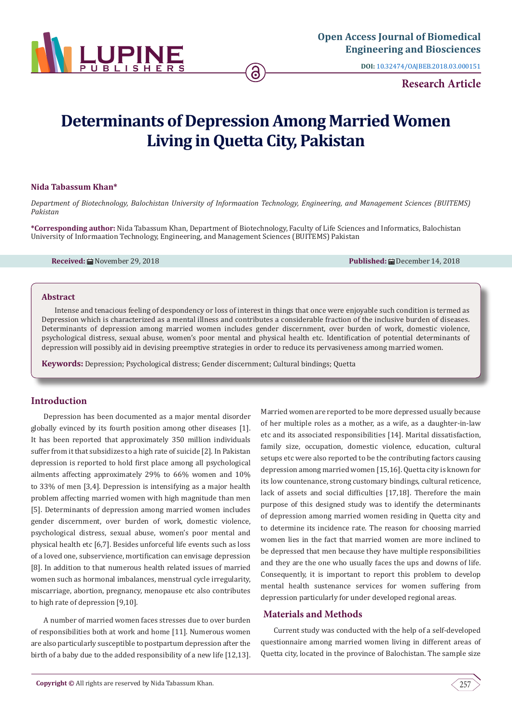

**DOI:** [10.32474/OAJBEB.2018.03.000151](http://dx.doi.org/10.32474/OAJBEB.2018.03.000151)

# **Research Article**

# **Determinants of Depression Among Married Women Living in Quetta City, Pakistan**

## **Nida Tabassum Khan\***

*Department of Biotechnology, Balochistan University of Informaation Technology, Engineering, and Management Sciences (BUITEMS) Pakistan*

**\*Corresponding author:** Nida Tabassum Khan, Department of Biotechnology, Faculty of Life Sciences and Informatics, Balochistan University of Informaation Technology, Engineering, and Management Sciences (BUITEMS) Pakistan

**Received:** November 29, 2018 **Published:** December 14, 2018

#### **Abstract**

Intense and tenacious feeling of despondency or loss of interest in things that once were enjoyable such condition is termed as Depression which is characterized as a mental illness and contributes a considerable fraction of the inclusive burden of diseases. Determinants of depression among married women includes gender discernment, over burden of work, domestic violence, psychological distress, sexual abuse, women's poor mental and physical health etc. Identification of potential determinants of depression will possibly aid in devising preemptive strategies in order to reduce its pervasiveness among married women.

**Keywords:** Depression; Psychological distress; Gender discernment; Cultural bindings; Quetta

## **Introduction**

Depression has been documented as a major mental disorder globally evinced by its fourth position among other diseases [1]. It has been reported that approximately 350 million individuals suffer from it that subsidizes to a high rate of suicide [2]. In Pakistan depression is reported to hold first place among all psychological ailments affecting approximately 29% to 66% women and 10% to 33% of men [3,4]. Depression is intensifying as a major health problem affecting married women with high magnitude than men [5]. Determinants of depression among married women includes gender discernment, over burden of work, domestic violence, psychological distress, sexual abuse, women's poor mental and physical health etc [6,7]. Besides unforceful life events such as loss of a loved one, subservience, mortification can envisage depression [8]. In addition to that numerous health related issues of married women such as hormonal imbalances, menstrual cycle irregularity, miscarriage, abortion, pregnancy, menopause etc also contributes to high rate of depression [9,10].

A number of married women faces stresses due to over burden of responsibilities both at work and home [11]. Numerous women are also particularly susceptible to postpartum depression after the birth of a baby due to the added responsibility of a new life [12,13]. Married women are reported to be more depressed usually because of her multiple roles as a mother, as a wife, as a daughter-in-law etc and its associated responsibilities [14]. Marital dissatisfaction, family size, occupation, domestic violence, education, cultural setups etc were also reported to be the contributing factors causing depression among married women [15,16]. Quetta city is known for its low countenance, strong customary bindings, cultural reticence, lack of assets and social difficulties [17,18]. Therefore the main purpose of this designed study was to identify the determinants of depression among married women residing in Quetta city and to determine its incidence rate. The reason for choosing married women lies in the fact that married women are more inclined to be depressed that men because they have multiple responsibilities and they are the one who usually faces the ups and downs of life. Consequently, it is important to report this problem to develop mental health sustenance services for women suffering from depression particularly for under developed regional areas.

## **Materials and Methods**

Current study was conducted with the help of a self-developed questionnaire among married women living in different areas of Quetta city, located in the province of Balochistan. The sample size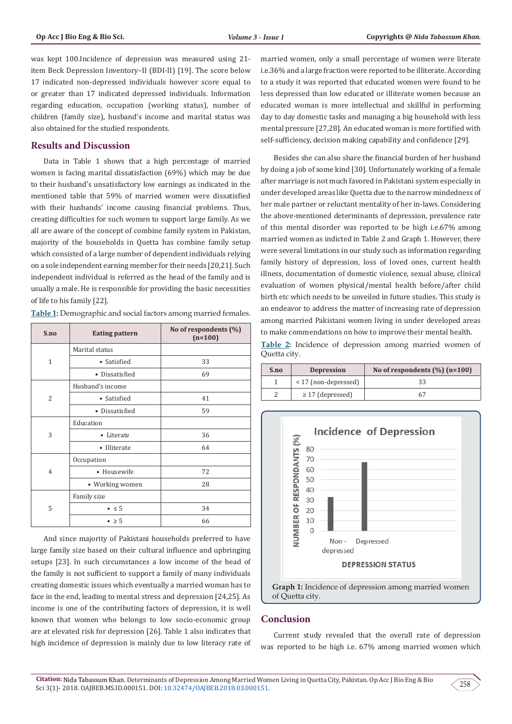was kept 100.Incidence of depression was measured using 21 item Beck Depression Inventory–II (BDI-II) [19]. The score below 17 indicated non-depressed individuals however score equal to or greater than 17 indicated depressed individuals. Information regarding education, occupation (working status), number of children (family size), husband's income and marital status was also obtained for the studied respondents.

## **Results and Discussion**

Data in Table 1 shows that a high percentage of married women is facing marital dissatisfaction (69%) which may be due to their husband's unsatisfactory low earnings as indicated in the mentioned table that 59% of married women were dissatisfied with their husbands' income causing financial problems. Thus, creating difficulties for such women to support large family. As we all are aware of the concept of combine family system in Pakistan, majority of the households in Quetta has combine family setup which consisted of a large number of dependent individuals relying on a sole independent earning member for their needs [20,21]. Such independent individual is referred as the head of the family and is usually a male. He is responsible for providing the basic necessities of life to his family [22].

| S.no           | <b>Eating pattern</b> | No of respondents (%)<br>$(n=100)$ |
|----------------|-----------------------|------------------------------------|
| 1              | Marital status        |                                    |
|                | • Satisfied           | 33                                 |
|                | • Dissatisfied        | 69                                 |
| $\overline{2}$ | Husband's income      |                                    |
|                | • Satisfied           | 41                                 |
|                | • Dissatisfied        | 59                                 |
| 3              | Education             |                                    |
|                | • Literate            | 36                                 |
|                | • Illiterate          | 64                                 |
| $\overline{4}$ | Occupation            |                                    |
|                | • Housewife           | 72                                 |
|                | • Working women       | 28                                 |
| 5              | Family size           |                                    |
|                | $\bullet \leq 5$      | 34                                 |
|                | $\bullet$ $\geq$ 5    | 66                                 |

**Table 1:** Demographic and social factors among married females.

And since majority of Pakistani households preferred to have large family size based on their cultural influence and upbringing setups [23]. In such circumstances a low income of the head of the family is not sufficient to support a family of many individuals creating domestic issues which eventually a married woman has to face in the end, leading to mental stress and depression [24,25]. As income is one of the contributing factors of depression, it is well known that women who belongs to low socio-economic group are at elevated risk for depression [26]. Table 1 also indicates that high incidence of depression is mainly due to low literacy rate of married women, only a small percentage of women were literate i.e.36% and a large fraction were reported to be illiterate. According to a study it was reported that educated women were found to be less depressed than low educated or illiterate women because an educated woman is more intellectual and skillful in performing day to day domestic tasks and managing a big household with less mental pressure [27,28]. An educated woman is more fortified with self-sufficiency, decision making capability and confidence [29].

Besides she can also share the financial burden of her husband by doing a job of some kind [30]. Unfortunately working of a female after marriage is not much favored in Pakistani system especially in under developed areas like Quetta due to the narrow mindedness of her male partner or reluctant mentality of her in-laws. Considering the above-mentioned determinants of depression, prevalence rate of this mental disorder was reported to be high i.e.67% among married women as indicted in Table 2 and Graph 1. However, there were several limitations in our study such as information regarding family history of depression, loss of loved ones, current health illness, documentation of domestic violence, sexual abuse, clinical evaluation of women physical/mental health before/after child birth etc which needs to be unveiled in future studies. This study is an endeavor to address the matter of increasing rate of depression among married Pakistani women living in under developed areas to make commendations on how to improve their mental health.

**Table 2:** Incidence of depression among married women of Quetta city.

| S.no | <b>Depression</b>      | No of respondents $(\% )$ (n=100) |
|------|------------------------|-----------------------------------|
|      | $<$ 17 (non-depressed) | 33                                |
|      | $\geq$ 17 (depressed)  | 67                                |



## **Conclusion**

Current study revealed that the overall rate of depression was reported to be high i.e. 67% among married women which